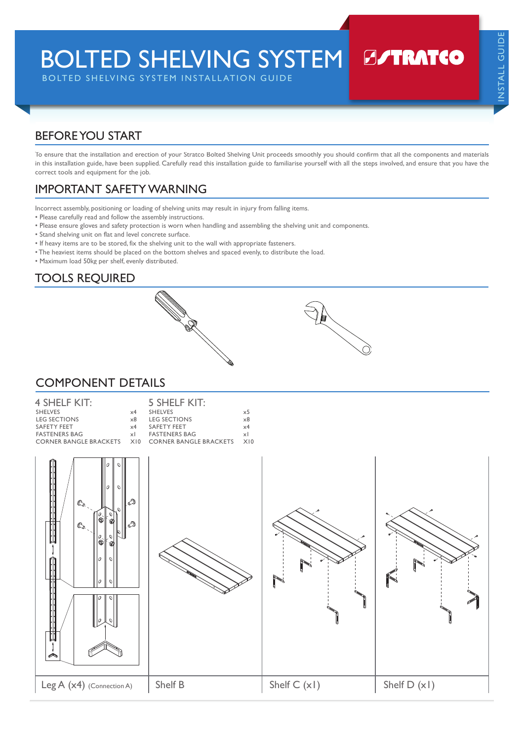BOLTED SHELVING SYSTEM

BOLTED SHELVING SYSTEM INSTALLATION GUIDE

# **B/TRATCO**

## BEFORE YOU START

To ensure that the installation and erection of your Stratco Bolted Shelving Unit proceeds smoothly you should confirm that all the components and materials in this installation guide, have been supplied. Carefully read this installation guide to familiarise yourself with all the steps involved, and ensure that you have the correct tools and equipment for the job.

## IMPORTANT SAFETY WARNING

Incorrect assembly, positioning or loading of shelving units may result in injury from falling items.

- Please carefully read and follow the assembly instructions.
- Please ensure gloves and safety protection is worn when handling and assembling the shelving unit and components.
- Stand shelving unit on flat and level concrete surface.
- If heavy items are to be stored, fix the shelving unit to the wall with appropriate fasteners.
- The heaviest items should be placed on the bottom shelves and spaced evenly, to distribute the load.
- Maximum load 50kg per shelf, evenly distributed.

## TOOLS REQUIRED



#### COMPONENT DETAILS

| 4 SHELF KIT:                                      |            | 5 SHELF KIT:         |            |
|---------------------------------------------------|------------|----------------------|------------|
| <b>SHELVES</b>                                    | $\times$ 4 | SHEIVES              | $\times$ 5 |
| LEG SECTIONS                                      | $\times 8$ | <b>LEG SECTIONS</b>  | $\times 8$ |
| SAFETY FEET                                       | $\times$ 4 | SAFETY FEET          | $\times$ 4 |
| <b>FASTENERS BAG</b>                              | $\times$   | <b>FASTENERS BAG</b> | xl         |
| CORNER BANGLE BRACKETS X10 CORNER BANGLE BRACKETS |            |                      | X10        |